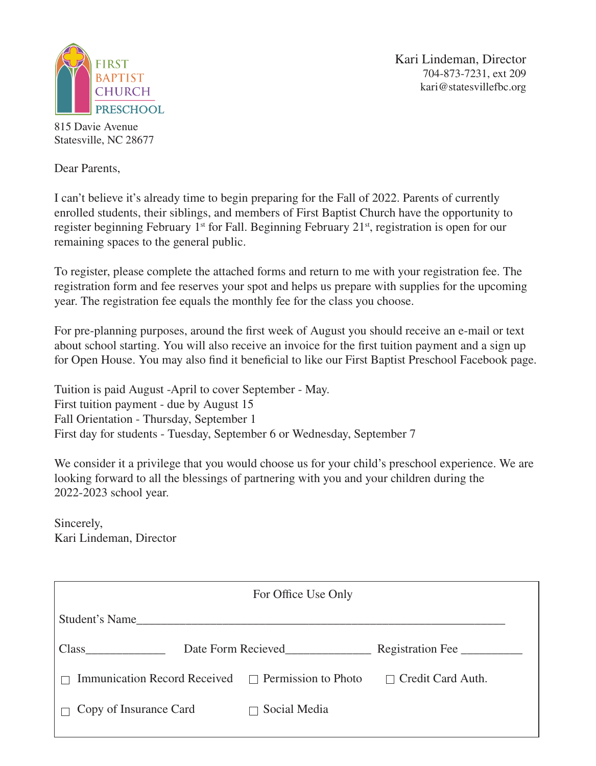

Kari Lindeman, Director 704-873-7231, ext 209 kari@statesvillefbc.org

815 Davie Avenue Statesville, NC 28677

Dear Parents,

I can't believe it's already time to begin preparing for the Fall of 2022. Parents of currently enrolled students, their siblings, and members of First Baptist Church have the opportunity to register beginning February 1<sup>st</sup> for Fall. Beginning February 21<sup>st</sup>, registration is open for our remaining spaces to the general public.

To register, please complete the attached forms and return to me with your registration fee. The registration form and fee reserves your spot and helps us prepare with supplies for the upcoming year. The registration fee equals the monthly fee for the class you choose.

For pre-planning purposes, around the first week of August you should receive an e-mail or text about school starting. You will also receive an invoice for the first tuition payment and a sign up for Open House. You may also find it beneficial to like our First Baptist Preschool Facebook page.

Tuition is paid August -April to cover September - May. First tuition payment - due by August 15 Fall Orientation - Thursday, September 1 First day for students - Tuesday, September 6 or Wednesday, September 7

We consider it a privilege that you would choose us for your child's preschool experience. We are looking forward to all the blessings of partnering with you and your children during the 2022-2023 school year.

Sincerely, Kari Lindeman, Director

| For Office Use Only                                     |                    |                          |  |  |
|---------------------------------------------------------|--------------------|--------------------------|--|--|
| Student's Name                                          |                    |                          |  |  |
| Class                                                   | Date Form Recieved | Registration Fee         |  |  |
| Immunication Record Received $\Box$ Permission to Photo |                    | $\Box$ Credit Card Auth. |  |  |
| Copy of Insurance Card                                  | Social Media       |                          |  |  |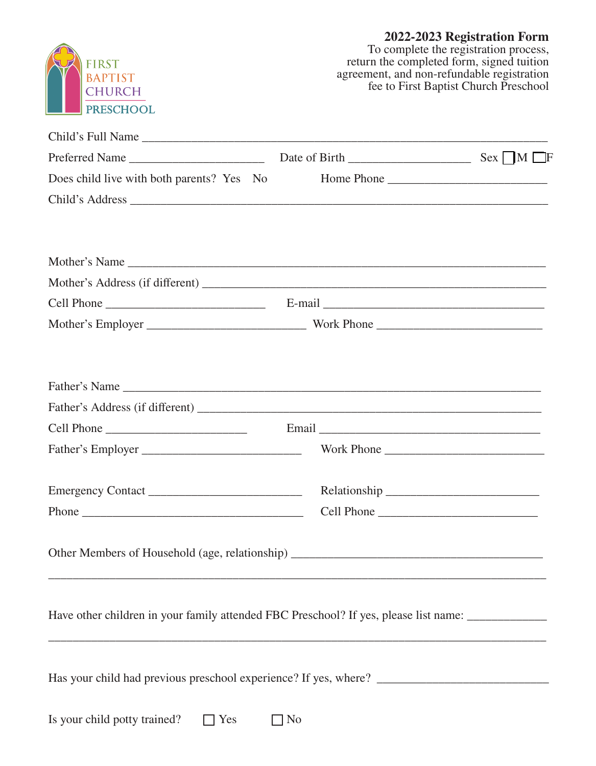

agreement, and non-refundable registration

fee to First Baptist Church Preschool

| Does child live with both parents? Yes No | Home Phone                                                                                          |
|-------------------------------------------|-----------------------------------------------------------------------------------------------------|
|                                           |                                                                                                     |
|                                           |                                                                                                     |
|                                           |                                                                                                     |
|                                           |                                                                                                     |
|                                           |                                                                                                     |
|                                           |                                                                                                     |
|                                           |                                                                                                     |
|                                           | Father's Name                                                                                       |
|                                           |                                                                                                     |
|                                           |                                                                                                     |
|                                           | Work Phone                                                                                          |
| Emergency Contact                         |                                                                                                     |
| Phone $\overline{\phantom{a}}$            | Cell Phone                                                                                          |
|                                           |                                                                                                     |
|                                           | Have other children in your family attended FBC Preschool? If yes, please list name: ______________ |
|                                           |                                                                                                     |

Is your child potty trained?  $\Box$  Yes  $\Box$  No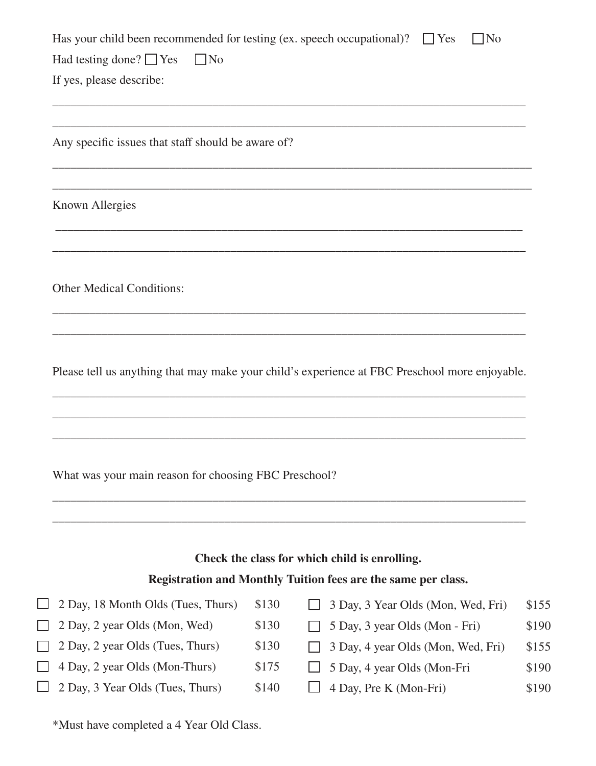| If yes, please describe:                                            |       |                                                                                                |                |
|---------------------------------------------------------------------|-------|------------------------------------------------------------------------------------------------|----------------|
| Any specific issues that staff should be aware of?                  |       |                                                                                                |                |
| <b>Known Allergies</b>                                              |       |                                                                                                |                |
| <b>Other Medical Conditions:</b>                                    |       |                                                                                                |                |
|                                                                     |       |                                                                                                |                |
|                                                                     |       | Please tell us anything that may make your child's experience at FBC Preschool more enjoyable. |                |
| What was your main reason for choosing FBC Preschool?               |       |                                                                                                |                |
|                                                                     |       | Check the class for which child is enrolling.                                                  |                |
|                                                                     | \$130 | Registration and Monthly Tuition fees are the same per class.                                  |                |
| 2 Day, 18 Month Olds (Tues, Thurs)<br>2 Day, 2 year Olds (Mon, Wed) | \$130 | 3 Day, 3 Year Olds (Mon, Wed, Fri)<br>5 Day, 3 year Olds (Mon - Fri)                           | \$155<br>\$190 |
| 2 Day, 2 year Olds (Tues, Thurs)                                    | \$130 | 3 Day, 4 year Olds (Mon, Wed, Fri)                                                             | \$155          |
| 4 Day, 2 year Olds (Mon-Thurs)                                      | \$175 | 5 Day, 4 year Olds (Mon-Fri                                                                    | \$190          |

\*Must have completed a 4 Year Old Class.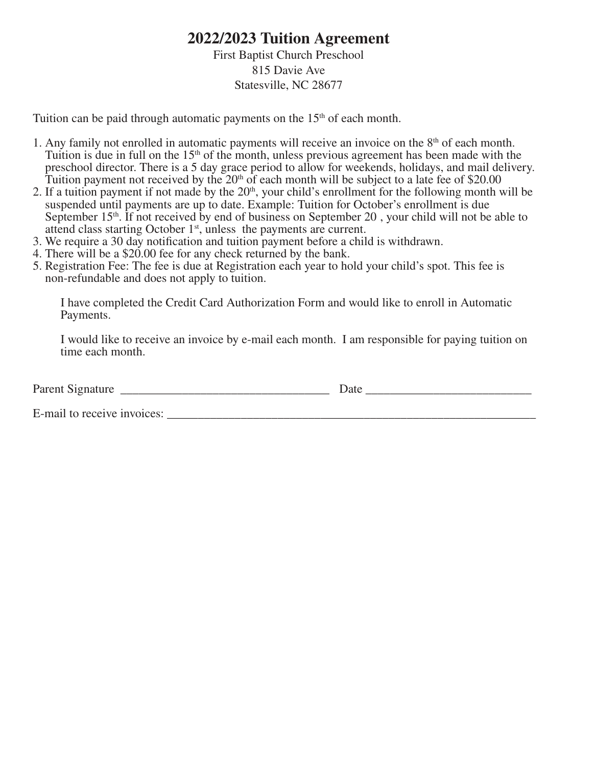# **2022/2023 Tuition Agreement**

### First Baptist Church Preschool 815 Davie Ave Statesville, NC 28677

Tuition can be paid through automatic payments on the  $15<sup>th</sup>$  of each month.

- 1. Any family not enrolled in automatic payments will receive an invoice on the 8th of each month. Tuition is due in full on the  $15<sup>th</sup>$  of the month, unless previous agreement has been made with the preschool director. There is a 5 day grace period to allow for weekends, holidays, and mail delivery. Tuition payment not received by the  $20<sup>th</sup>$  of each month will be subject to a late fee of \$20.00
- 2. If a tuition payment if not made by the  $20<sup>th</sup>$ , your child's enrollment for the following month will be suspended until payments are up to date. Example: Tuition for October's enrollment is due September  $15<sup>th</sup>$ . If not received by end of business on September 20, your child will not be able to attend class starting October  $1<sup>st</sup>$ , unless the payments are current.
- 3. We require a 30 day notification and tuition payment before a child is withdrawn.
- 4. There will be a \$20.00 fee for any check returned by the bank.
- 5. Registration Fee: The fee is due at Registration each year to hold your child's spot. This fee is non-refundable and does not apply to tuition.

 I have completed the Credit Card Authorization Form and would like to enroll in Automatic Payments.

 I would like to receive an invoice by e-mail each month. I am responsible for paying tuition on time each month.

| -<br>. | $\cdots$ |
|--------|----------|
|        |          |

E-mail to receive invoices: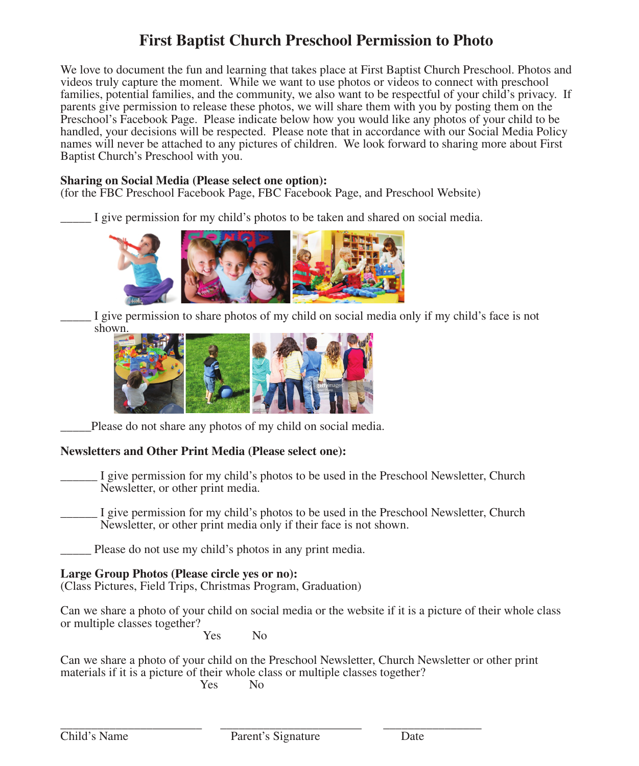# **First Baptist Church Preschool Permission to Photo**

We love to document the fun and learning that takes place at First Baptist Church Preschool. Photos and videos truly capture the moment. While we want to use photos or videos to connect with preschool families, potential families, and the community, we also want to be respectful of your child's privacy. If parents give permission to release these photos, we will share them with you by posting them on the Preschool's Facebook Page. Please indicate below how you would like any photos of your child to be handled, your decisions will be respected. Please note that in accordance with our Social Media Policy names will never be attached to any pictures of children. We look forward to sharing more about First Baptist Church's Preschool with you.

#### **Sharing on Social Media (Please select one option):**

(for the FBC Preschool Facebook Page, FBC Facebook Page, and Preschool Website)

\_\_\_\_\_ I give permission for my child's photos to be taken and shared on social media.



I give permission to share photos of my child on social media only if my child's face is not shown.



Please do not share any photos of my child on social media.

#### **Newsletters and Other Print Media (Please select one):**

- I give permission for my child's photos to be used in the Preschool Newsletter, Church Newsletter, or other print media.
- I give permission for my child's photos to be used in the Preschool Newsletter, Church Newsletter, or other print media only if their face is not shown.

Please do not use my child's photos in any print media.

**Large Group Photos (Please circle yes or no):** (Class Pictures, Field Trips, Christmas Program, Graduation)

Can we share a photo of your child on social media or the website if it is a picture of their whole class or multiple classes together?

Yes No

Can we share a photo of your child on the Preschool Newsletter, Church Newsletter or other print materials if it is a picture of their whole class or multiple classes together?<br>No

Yes No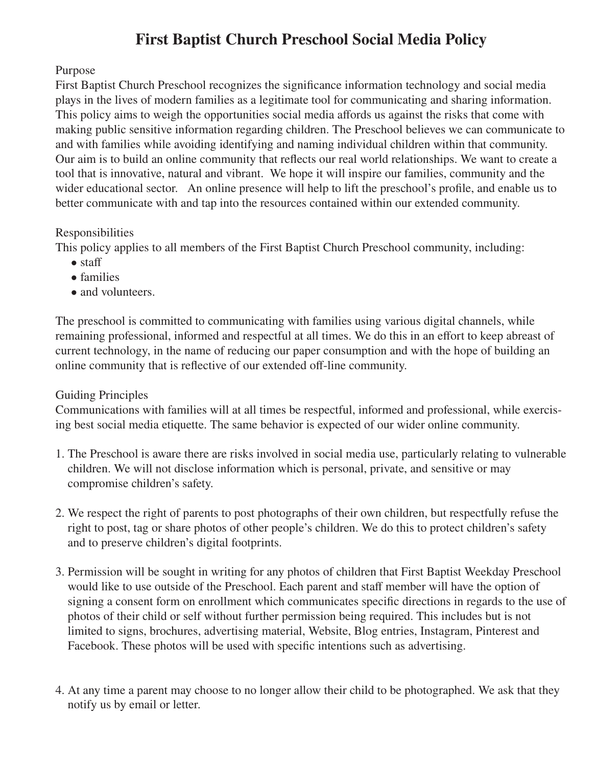# **First Baptist Church Preschool Social Media Policy**

# Purpose

First Baptist Church Preschool recognizes the significance information technology and social media plays in the lives of modern families as a legitimate tool for communicating and sharing information. This policy aims to weigh the opportunities social media affords us against the risks that come with making public sensitive information regarding children. The Preschool believes we can communicate to and with families while avoiding identifying and naming individual children within that community. Our aim is to build an online community that reflects our real world relationships. We want to create a tool that is innovative, natural and vibrant. We hope it will inspire our families, community and the wider educational sector. An online presence will help to lift the preschool's profile, and enable us to better communicate with and tap into the resources contained within our extended community.

# Responsibilities

This policy applies to all members of the First Baptist Church Preschool community, including:

- staff
- families
- and volunteers.

The preschool is committed to communicating with families using various digital channels, while remaining professional, informed and respectful at all times. We do this in an effort to keep abreast of current technology, in the name of reducing our paper consumption and with the hope of building an online community that is reflective of our extended off-line community.

# Guiding Principles

Communications with families will at all times be respectful, informed and professional, while exercising best social media etiquette. The same behavior is expected of our wider online community.

- 1. The Preschool is aware there are risks involved in social media use, particularly relating to vulnerable children. We will not disclose information which is personal, private, and sensitive or may compromise children's safety.
- 2. We respect the right of parents to post photographs of their own children, but respectfully refuse the right to post, tag or share photos of other people's children. We do this to protect children's safety and to preserve children's digital footprints.
- 3. Permission will be sought in writing for any photos of children that First Baptist Weekday Preschool would like to use outside of the Preschool. Each parent and staff member will have the option of signing a consent form on enrollment which communicates specific directions in regards to the use of photos of their child or self without further permission being required. This includes but is not limited to signs, brochures, advertising material, Website, Blog entries, Instagram, Pinterest and Facebook. These photos will be used with specific intentions such as advertising.
- 4. At any time a parent may choose to no longer allow their child to be photographed. We ask that they notify us by email or letter.